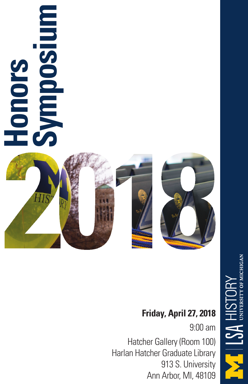

### **Friday, April 27, 2018**

9:00 am Hatcher Gallery (Room 100) Harlan Hatcher Graduate Library 913 S. University Ann Arbor, MI, 48109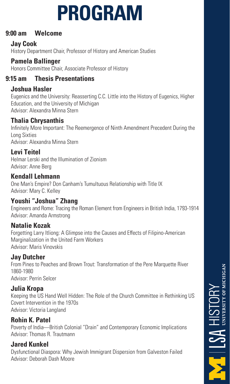# **PROGRAM**

### **9:00 am Welcome**

### **Jay Cook**

History Department Chair, Professor of History and American Studies

### **Pamela Ballinger**

Honors Committee Chair, Associate Professor of History

### **9:15 am Thesis Presentations**

### **Joshua Hasler**

Eugenics and the University: Reasserting C.C. Little into the History of Eugenics, Higher Education, and the University of Michigan Advisor: Alexandra Minna Stern

### **Thalia Chrysanthis**

Infinitely More Important: The Reemergence of Ninth Amendment Precedent During the Long Sixties Advisor: Alexandra Minna Stern

### **Levi Teitel**

Helmar Lerski and the Illumination of Zionism Advisor: Anne Berg

### **Kendall Lehmann**

One Man's Empire? Don Canham's Tumultuous Relationship with Title IX Advisor: Mary C. Kelley

### **Youshi "Joshua" Zhang**

Engineers and Rome: Tracing the Roman Element from Engineers in British India, 1793-1914 Advisor: Amanda Armstrong

### **Natalie Kozak**

Forgetting Larry Itliong: A Glimpse into the Causes and Effects of Filipino-American Marginalization in the United Farm Workers Advisor: Maris Vinovskis

### **Jay Dutcher**

From Pines to Peaches and Brown Trout: Transformation of the Pere Marquette River 1860-1980 Advisor: Perrin Selcer

### **Julia Kropa**

Keeping the US Hand Well Hidden: The Role of the Church Committee in Rethinking US Covert Intervention in the 1970s Advisor: Victoria Langland

### **Rohin K. Patel**

Poverty of India—British Colonial "Drain" and Contemporary Economic Implications Advisor: Thomas R. Trautmann

### **Jared Kunkel**

Dysfunctional Diaspora: Why Jewish Immigrant Dispersion from Galveston Failed Advisor: Deborah Dash Moore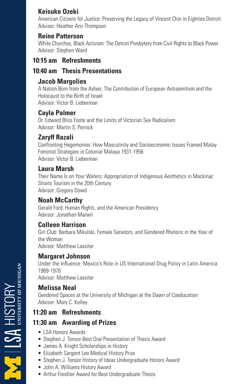### **Keisuke Ozeki**

American Citizens for Justice: Preserving the Legacy of Vincent Chin in Eighties Detroit Advisor: Heather Ann Thompson

### **Reine Patterson**

White Churches, Black Activism: The Detroit Presbytery from Civil Rights to Black Power Advisor: Stephen Ward

### **10:15 am Refreshments**

### **10:40 am Thesis Presentations**

#### **Jacob Margolies**

A Nation Born from the Ashes: The Contribution of European Antisemitism and the Holocaust to the Birth of Israel Advisor: Victor B. Lieberman

#### **Cayla Palmer**

Dr. Edward Bliss Foote and the Limits of Victorian Sex Radicalism Advisor: Martin S. Pernick

### **Zaryff Razali**

Confronting Hegemonies: How Masculinity and Socioeconomic Issues Framed Malay Feminist Strategies in Colonial Malaya 1931-1956 Advisor: Victor B. Lieberman

#### **Laura Marsh**

Their Name Is on Your Waters: Appropriation of Indigenous Aesthetics in Mackinac Straits Tourism in the 20th Century Advisor: Gregory Dowd

#### **Noah McCarthy**

Gerald Ford, Human Rights, and the American Presidency Advisor: Jonathan Marwil

#### **Colleen Harrison**

Girl Club: Barbara Mikulski, Female Senators, and Gendered Rhetoric in the Year of the Woman Advisor: Matthew Lassiter

#### **Margaret Johnson**

Under the Influence: Mexico's Role in US International Drug Policy in Latin America 1969-1976 Advisor: Matthew Lassiter

#### **Melissa Neal**

Gendered Spaces at the University of Michigan at the Dawn of Coeducation Advisor: Mary C. Kelley

### **11:20 am Refreshments**

### **11:30 am Awarding of Prizes**

- LSA Honors Awards
- Stephen J. Tonsor Best Oral Presentation of Thesis Award
- James A. Knight Scholarships in History
- Elizabeth Sargent Lee Medical History Prize
- Stephen J. Tonsor History of Ideas Undergraduate Honors Award
- John A. Williams History Award
- Arthur Fondiler Award for Best Undergraduate Thesis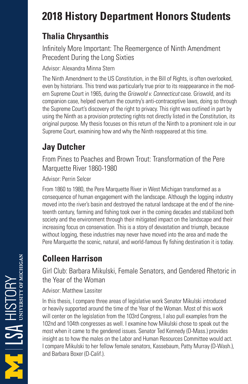# **2018 History Department Honors Students**

# **Thalia Chrysanthis**

Infinitely More Important: The Reemergence of Ninth Amendment Precedent During the Long Sixties

Advisor: Alexandra Minna Stern

The Ninth Amendment to the US Constitution, in the Bill of Rights, is often overlooked, even by historians. This trend was particularly true prior to its reappearance in the modern Supreme Court in 1965, during the Griswold v. Connecticut case. Griswold, and its companion case, helped overturn the country's anti-contraceptive laws, doing so through the Supreme Court's discovery of the right to privacy. This right was outlined in part by using the Ninth as a provision protecting rights not directly listed in the Constitution, its original purpose. My thesis focuses on this return of the Ninth to a prominent role in our Supreme Court, examining how and why the Ninth reappeared at this time.

# **Jay Dutcher**

From Pines to Peaches and Brown Trout: Transformation of the Pere Marquette River 1860-1980

Advisor: Perrin Selcer

From 1860 to 1980, the Pere Marquette River in West Michigan transformed as a consequence of human engagement with the landscape. Although the logging industry moved into the river's basin and destroyed the natural landscape at the end of the nineteenth century, farming and fishing took over in the coming decades and stabilized both society and the environment through their mitigated impact on the landscape and their increasing focus on conservation. This is a story of devastation and triumph, because without logging, these industries may never have moved into the area and made the Pere Marquette the scenic, natural, and world-famous fly fishing destination it is today.

# **Colleen Harrison**

Girl Club: Barbara Mikulski, Female Senators, and Gendered Rhetoric in the Year of the Woman

#### Advisor: Matthew Lassiter

In this thesis, I compare three areas of legislative work Senator Mikulski introduced or heavily supported around the time of the Year of the Woman. Most of this work will center on the legislation from the 103rd Congress, I also pull examples from the 102nd and 104th congresses as well. I examine how Mikulski chose to speak out the most when it came to the gendered issues. Senator Ted Kennedy (D-Mass.) provides insight as to how the males on the Labor and Human Resources Committee would act. I compare Mikulski to her fellow female senators, Kassebaum, Patty Murray (D-Wash.), and Barbara Boxer (D-Calif.).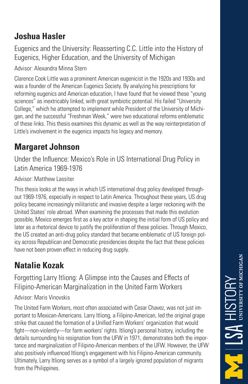### **Joshua Hasler**

Eugenics and the University: Reasserting C.C. Little into the History of Eugenics, Higher Education, and the University of Michigan

Advisor: Alexandra Minna Stern

Clarence Cook Little was a prominent American eugenicist in the 1920s and 1930s and was a founder of the American Eugenics Society. By analyzing his prescriptions for reforming eugenics and American education, I have found that he viewed these "young sciences" as inextricably linked, with great symbiotic potential. His failed "University College," which he attempted to implement while President of the University of Michigan, and the successful "Freshman Week," were two educational reforms emblematic of these links. This thesis examines this dynamic as well as the way reinterpretation of Little's involvement in the eugenics impacts his legacy and memory.

### **Margaret Johnson**

Under the Influence: Mexico's Role in US International Drug Policy in Latin America 1969-1976

#### Advisor: Matthew Lassiter

This thesis looks at the ways in which US international drug policy developed throughout 1969-1976, especially in respect to Latin America. Throughout these years, US drug policy became increasingly militaristic and invasive despite a larger reckoning with the United States' role abroad. When examining the processes that made this evolution possible, Mexico emerges first as a key actor in shaping the initial form of US policy and later as a rhetorical device to justify the proliferation of these policies. Through Mexico, the US created an anti-drug policy standard that became emblematic of US foreign policy across Republican and Democratic presidencies despite the fact that these policies have not been proven effect in reducing drug supply.

### **Natalie Kozak**

Forgetting Larry Itliong: A Glimpse into the Causes and Effects of Filipino-American Marginalization in the United Farm Workers

#### Advisor: Maris Vinovskis

The United Farm Workers, most often associated with Cesar Chavez, was not just important to Mexican-Americans. Larry Itliong, a Filipino-American, led the original grape strike that caused the formation of a Unified Farm Workers' organization that would fight—non-violently—for farm workers' rights. Itliong's personal history, including the details surrounding his resignation from the UFW in 1971, demonstrates both the importance and marginalization of Filipino-American members of the UFW. However, the UFW also positively influenced Itliong's engagement with his Filipino-American community. Ultimately, Larry Itliong serves as a symbol of a largely ignored population of migrants from the Philippines.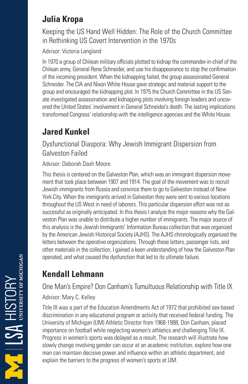### **Julia Kropa**

Keeping the US Hand Well Hidden: The Role of the Church Committee in Rethinking US Covert Intervention in the 1970s

Advisor: Victoria Langland

In 1970 a group of Chilean military officials plotted to kidnap the commander-in-chief of the Chilean army, General Rene Schneider, and use his disappearance to stop the confirmation of the incoming president. When the kidnapping failed, the group assassinated General Schneider. The CIA and Nixon White House gave strategic and material support to the group and encouraged the kidnapping plot. In 1975 the Church Committee in the US Senate investigated assassination and kidnapping plots involving foreign leaders and uncovered the United States' involvement in General Schneider's death. The lasting implications transformed Congress' relationship with the intelligence agencies and the White House.

# **Jared Kunkel**

Dysfunctional Diaspora: Why Jewish Immigrant Dispersion from Galveston Failed

Advisor: Deborah Dash Moore

This thesis is centered on the Galveston Plan, which was an immigrant dispersion movement that took place between 1907 and 1914. The goal of the movement was to recruit Jewish immigrants from Russia and convince them to go to Galveston instead of New York City. When the immigrants arrived in Galveston they were sent to various locations throughout the US West in need of laborers. This particular dispersion effort was not as successful as originally anticipated. In this thesis I analyze the major reasons why the Galveston Plan was unable to distribute a higher number of immigrants. The major source of this analysis is the Jewish Immigrants' Information Bureau collection that was organized by the American Jewish Historical Society (AJHS). The AJHS chronologically organized the letters between the operative organizations. Through these letters, passenger lists, and other materials in the collection, I gained a keen understanding of how the Galveston Plan operated, and what caused the dysfunction that led to its ultimate failure.

# **Kendall Lehmann**

One Man's Empire? Don Canham's Tumultuous Relationship with Title IX

Advisor: Mary C. Kelley

Title IX was a part of the Education Amendments Act of 1972 that prohibited sex-based discrimination in any educational program or activity that received federal funding. The University of Michigan (UM) Athletic Director from 1968-1988, Don Canham, placed importance on football while neglecting women's athletics and challenging Title IX. Progress in women's sports was delayed as a result. The research will illustrate how slowly change involving gender can occur at an academic institution, explore how one man can maintain decisive power and influence within an athletic department, and explain the barriers to the progress of women's sports at UM.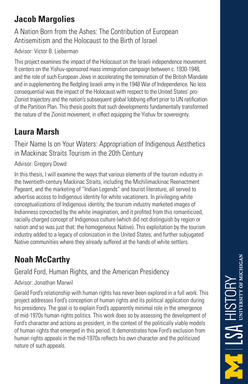# **Jacob Margolies**

### A Nation Born from the Ashes: The Contribution of European Antisemitism and the Holocaust to the Birth of Israel

### Advisor: Victor B. Lieberman

This project examines the impact of the Holocaust on the Israeli independence movement. It centers on the Yishuv-sponsored mass immigration campaign between c. 1930-1948, and the role of such European Jews in accelerating the termination of the British Mandate and in supplementing the fledgling Israeli army in the 1948 War of Independence. No less consequential was the impact of the Holocaust with respect to the United States' pro-Zionist trajectory and the nation's subsequent global lobbying effort prior to UN ratification of the Partition Plan. This thesis posits that such developments fundamentally transformed the nature of the Zionist movement, in effect equipping the Yishuv for sovereignty.

# **Laura Marsh**

Their Name Is on Your Waters: Appropriation of Indigenous Aesthetics in Mackinac Straits Tourism in the 20th Century

### Advisor: Gregory Dowd

In this thesis, I will examine the ways that various elements of the tourism industry in the twentieth-century Mackinac Straits, including the Michilimackinac Reenactment Pageant, and the marketing of "Indian Legends" and tourist literature, all served to advertise access to Indigenous identity for white vacationers. In privileging white conceptualizations of Indigenous identity, the tourism industry marketed images of Indianness concocted by the white imagination, and it profited from this romanticized, racially charged concept of Indigenous culture (which did not distinguish by region or nation and so was just that: the homogeneous Native). This exploitation by the tourism industry added to a legacy of colonization in the United States, and further subjugated Native communities where they already suffered at the hands of white settlers.

# **Noah McCarthy**

### Gerald Ford, Human Rights, and the American Presidency

### Advisor: Jonathan Marwil

Gerald Ford's relationship with human rights has never been explored in a full work. This project addresses Ford's conception of human rights and its political application during his presidency. The goal is to explain Ford's apparently minimal role in the emergence of mid-1970s human rights politics. This work does so by assessing the development of Ford's character and actions as president, in the context of the politically viable models of human rights that emerged in this period. It demonstrates how Ford's exclusion from human rights appeals in the mid-1970s reflects his own character and the politicized nature of such appeals.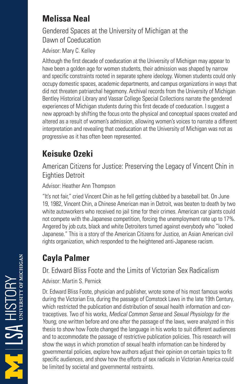### **Melissa Neal**

### Gendered Spaces at the University of Michigan at the Dawn of Coeducation

Advisor: Mary C. Kelley

Although the first decade of coeducation at the University of Michigan may appear to have been a golden age for women students, their admission was shaped by narrow and specific constraints rooted in separate sphere ideology. Women students could only occupy domestic spaces, academic departments, and campus organizations in ways that did not threaten patriarchal hegemony. Archival records from the University of Michigan Bentley Historical Library and Vassar College Special Collections narrate the gendered experiences of Michigan students during this first decade of coeducation. I suggest a new approach by shifting the focus onto the physical and conceptual spaces created and altered as a result of women's admission, allowing women's voices to narrate a different interpretation and revealing that coeducation at the University of Michigan was not as progressive as it has often been represented.

# **Keisuke Ozeki**

American Citizens for Justice: Preserving the Legacy of Vincent Chin in Eighties Detroit

Advisor: Heather Ann Thompson

"It's not fair," cried Vincent Chin as he fell getting clubbed by a baseball bat. On June 19, 1982, Vincent Chin, a Chinese American man in Detroit, was beaten to death by two white autoworkers who received no jail time for their crimes. American car giants could not compete with the Japanese competition, forcing the unemployment rate up to 17%. Angered by job cuts, black and white Detroiters turned against everybody who "looked Japanese." This is a story of the American Citizens for Justice, an Asian American civil rights organization, which responded to the heightened anti-Japanese racism.

# **Cayla Palmer**

### Dr. Edward Bliss Foote and the Limits of Victorian Sex Radicalism

Advisor: Martin S. Pernick

Dr. Edward Bliss Foote, physician and publisher, wrote some of his most famous works during the Victorian Era, during the passage of Comstock Laws in the late 19th Century, which restricted the publication and distribution of sexual health information and contraceptives. Two of his works, Medical Common Sense and Sexual Physiology for the Young, one written before and one after the passage of the laws, were analyzed in this thesis to show how Foote changed the language in his works to suit different audiences and to accommodate the passage of restrictive publication policies. This research will show the ways in which promotion of sexual health information can be hindered by governmental policies, explore how authors adjust their opinion on certain topics to fit specific audiences, and show how the efforts of sex radicals in Victorian America could be limited by societal and governmental restraints.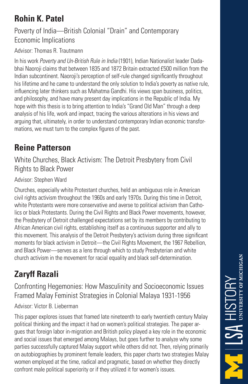### **Rohin K. Patel**

### Poverty of India—British Colonial "Drain" and Contemporary Economic Implications

Advisor: Thomas R. Trautmann

In his work Poverty and Un-British Rule in India (1901), Indian Nationalist leader Dadabhai Naoroji claims that between 1835 and 1872 Britain extracted £500 million from the Indian subcontinent. Naoroji's perception of self-rule changed significantly throughout his lifetime and he came to understand the only solution to India's poverty as native rule, influencing later thinkers such as Mahatma Gandhi. His views span business, politics, and philosophy, and have many present day implications in the Republic of India. My hope with this thesis is to bring attention to India's "Grand Old Man" through a deep analysis of his life, work and impact, tracing the various alterations in his views and arguing that, ultimately, in order to understand contemporary Indian economic transformations, we must turn to the complex figures of the past.

### **Reine Patterson**

White Churches, Black Activism: The Detroit Presbytery from Civil Rights to Black Power

### Advisor: Stephen Ward

Churches, especially white Protestant churches, held an ambiguous role in American civil rights activism throughout the 1960s and early 1970s. During this time in Detroit, white Protestants were more conservative and averse to political activism than Catholics or black Protestants. During the Civil Rights and Black Power movements, however, the Presbytery of Detroit challenged expectations set by its members by contributing to African American civil rights, establishing itself as a continuous supporter and ally to this movement. This analysis of the Detroit Presbytery's activism during three significant moments for black activism in Detroit—the Civil Rights Movement, the 1967 Rebellion, and Black Power—serves as a lens through which to study Presbyterian and white church activism in the movement for racial equality and black self-determination.

# **Zaryff Razali**

Confronting Hegemonies: How Masculinity and Socioeconomic Issues Framed Malay Feminist Strategies in Colonial Malaya 1931-1956

#### Advisor: Victor B. Lieberman

This paper explores issues that framed late nineteenth to early twentieth century Malay political thinking and the impact it had on women's political strategies. The paper argues that foreign labor in-migration and British policy played a key role in the economic and social issues that emerged among Malays, but goes further to analyze why some parties successfully captured Malay support while others did not. Then, relying primarily on autobiographies by prominent female leaders, this paper charts two strategies Malay women employed at the time, radical and pragmatic, based on whether they directly confront male political superiority or if they utilized it for women's issues.